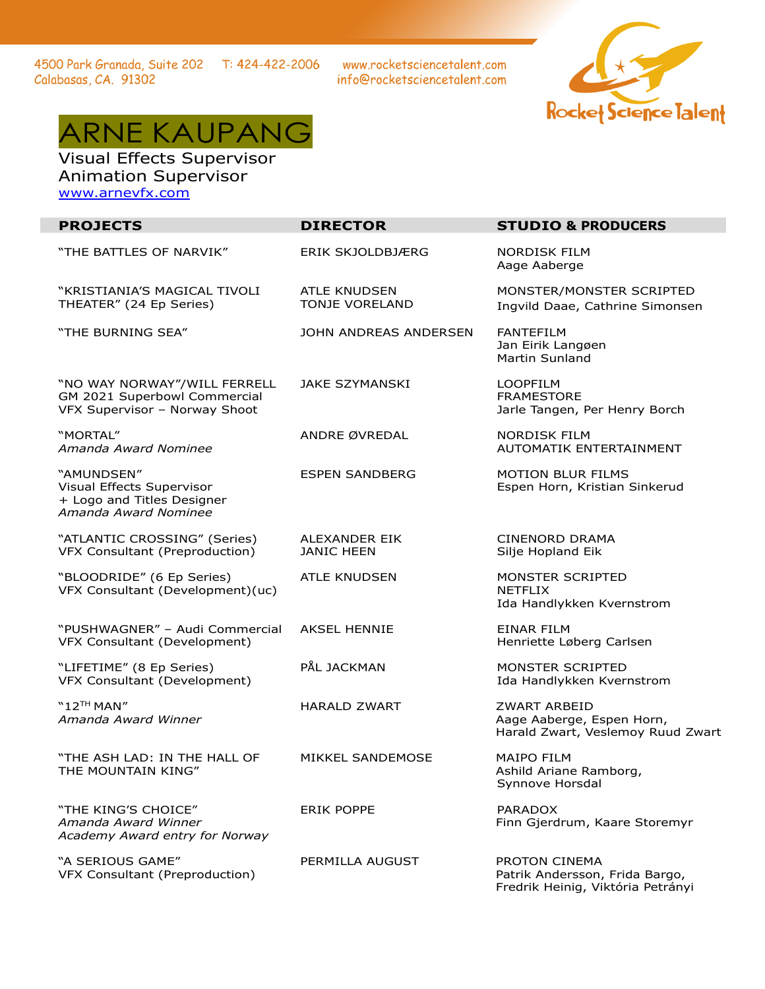4500 Park Granada, Suite 202 T: 424-422-2006 Calabasas, CA. 91302

www.rocketsciencetalent.com info@rocketsciencetalent.com





Visual Effects Supervisor Animation Supervisor [www.arnevfx.com](http://www.arnevfx.com/)

| <b>PROJECTS</b>                                                                               | <b>DIRECTOR</b>                       | <b>STUDIO &amp; PRODUCERS</b>                                                         |
|-----------------------------------------------------------------------------------------------|---------------------------------------|---------------------------------------------------------------------------------------|
| "THE BATTLES OF NARVIK"                                                                       | <b>ERIK SKJOLDBJÆRG</b>               | <b>NORDISK FILM</b><br>Aage Aaberge                                                   |
| "KRISTIANIA'S MAGICAL TIVOLI<br>THEATER" (24 Ep Series)                                       | <b>ATLE KNUDSEN</b><br>TONJE VORELAND | MONSTER/MONSTER SCRIPTED<br>Ingvild Daae, Cathrine Simonsen                           |
| "THE BURNING SEA"                                                                             | JOHN ANDREAS ANDERSEN                 | <b>FANTEFILM</b><br>Jan Eirik Langøen<br><b>Martin Sunland</b>                        |
| "NO WAY NORWAY"/WILL FERRELL<br>GM 2021 Superbowl Commercial<br>VFX Supervisor - Norway Shoot | <b>JAKE SZYMANSKI</b>                 | <b>LOOPFILM</b><br><b>FRAMESTORE</b><br>Jarle Tangen, Per Henry Borch                 |
| "MORTAL"<br>Amanda Award Nominee                                                              | ANDRE ØVREDAL                         | <b>NORDISK FILM</b><br>AUTOMATIK ENTERTAINMENT                                        |
| "AMUNDSEN"<br>Visual Effects Supervisor<br>+ Logo and Titles Designer<br>Amanda Award Nominee | <b>ESPEN SANDBERG</b>                 | <b>MOTION BLUR FILMS</b><br>Espen Horn, Kristian Sinkerud                             |
| "ATLANTIC CROSSING" (Series)<br>VFX Consultant (Preproduction)                                | ALEXANDER EIK<br><b>JANIC HEEN</b>    | <b>CINENORD DRAMA</b><br>Silje Hopland Eik                                            |
| "BLOODRIDE" (6 Ep Series)<br>VFX Consultant (Development)(uc)                                 | <b>ATLE KNUDSEN</b>                   | MONSTER SCRIPTED<br><b>NETFLIX</b><br>Ida Handlykken Kvernstrom                       |
| "PUSHWAGNER" - Audi Commercial<br>VFX Consultant (Development)                                | <b>AKSEL HENNIE</b>                   | <b>EINAR FILM</b><br>Henriette Løberg Carlsen                                         |
| "LIFETIME" (8 Ep Series)<br>VFX Consultant (Development)                                      | PÅL JACKMAN                           | MONSTER SCRIPTED<br>Ida Handlykken Kvernstrom                                         |
| $"12"$ <sup>H</sup> MAN"<br>Amanda Award Winner                                               | <b>HARALD ZWART</b>                   | <b>ZWART ARBEID</b><br>Aage Aaberge, Espen Horn,<br>Harald Zwart, Veslemoy Ruud Zwart |
| "THE ASH LAD: IN THE HALL OF<br>THE MOUNTAIN KING"                                            | MIKKEL SANDEMOSE                      | <b>MAIPO FILM</b><br>Ashild Ariane Ramborg,<br>Synnove Horsdal                        |
| "THE KING'S CHOICE"<br>Amanda Award Winner<br>Academy Award entry for Norway                  | <b>ERIK POPPE</b>                     | <b>PARADOX</b><br>Finn Gjerdrum, Kaare Storemyr                                       |
| "A SERIOUS GAME"<br>VFX Consultant (Preproduction)                                            | PERMILLA AUGUST                       | PROTON CINEMA<br>Patrik Andersson, Frida Bargo,<br>Fredrik Heinig, Viktória Petrányi  |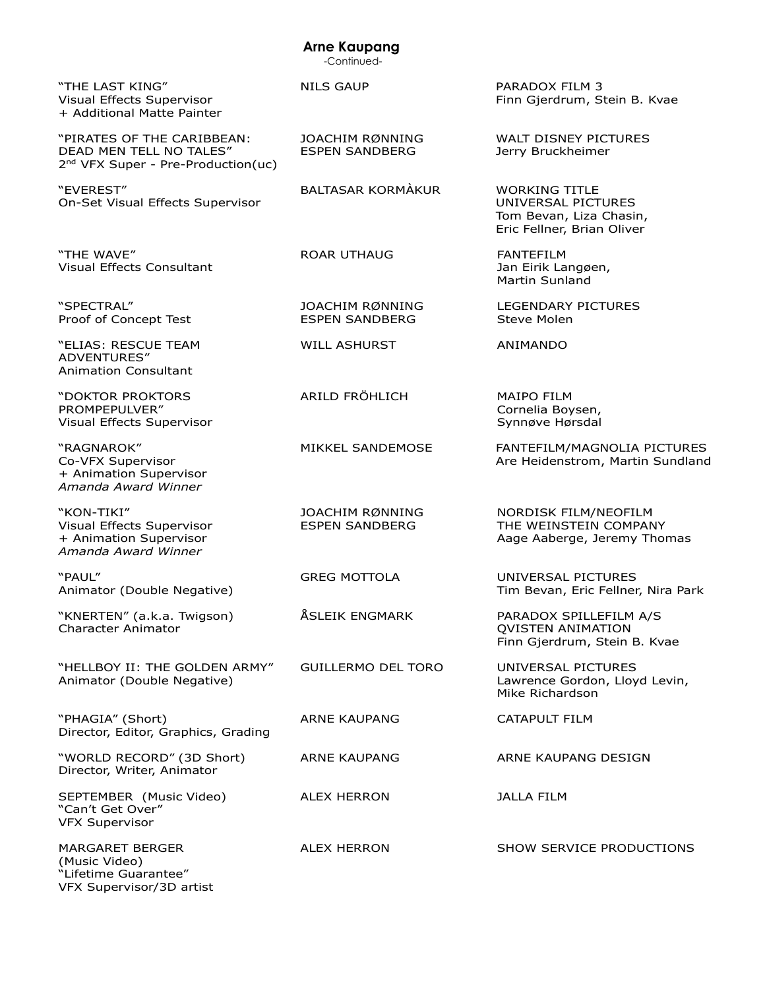#### -Continued- "THE LAST KING" Visual Effects Supervisor + Additional Matte Painter NILS GAUP PARADOX FILM 3 Finn Gjerdrum, Stein B. Kvae "PIRATES OF THE CARIBBEAN: DEAD MEN TELL NO TALES" 2<sup>nd</sup> VFX Super - Pre-Production(uc) JOACHIM RØNNING ESPEN SANDBERG WALT DISNEY PICTURES Jerry Bruckheimer "EVEREST" On-Set Visual Effects Supervisor BALTASAR KORMÀKUR WORKING TITLE UNIVERSAL PICTURES Tom Bevan, Liza Chasin, Eric Fellner, Brian Oliver "THE WAVE" Visual Effects Consultant ROAR UTHAUG FANTEFILM Jan Eirik Langøen, Martin Sunland "SPECTRAL" Proof of Concept Test JOACHIM RØNNING ESPEN SANDBERG LEGENDARY PICTURES Steve Molen "ELIAS: RESCUE TEAM ADVENTURES" Animation Consultant WILL ASHURST ANIMANDO "DOKTOR PROKTORS PROMPEPULVER" Visual Effects Supervisor ARILD FRÖHLICH MAIPO FILM Cornelia Boysen, Synnøve Hørsdal "RAGNAROK" Co-VFX Supervisor + Animation Supervisor *Amanda Award Winner* MIKKEL SANDEMOSE FANTEFILM/MAGNOLIA PICTURES Are Heidenstrom, Martin Sundland "KON-TIKI" Visual Effects Supervisor + Animation Supervisor *Amanda Award Winner* JOACHIM RØNNING ESPEN SANDBERG NORDISK FILM/NEOFILM THE WEINSTEIN COMPANY Aage Aaberge, Jeremy Thomas "PAUL" Animator (Double Negative) GREG MOTTOLA UNIVERSAL PICTURES Tim Bevan, Eric Fellner, Nira Park "KNERTEN" (a.k.a. Twigson) Character Animator ÅSLEIK ENGMARK PARADOX SPILLEFILM A/S QVISTEN ANIMATION Finn Gjerdrum, Stein B. Kvae "HELLBOY II: THE GOLDEN ARMY" Animator (Double Negative) GUILLERMO DEL TORO UNIVERSAL PICTURES Lawrence Gordon, Lloyd Levin, Mike Richardson "PHAGIA" (Short) Director, Editor, Graphics, Grading ARNE KAUPANG CATAPULT FILM "WORLD RECORD" (3D Short) Director, Writer, Animator ARNE KAUPANG ARNE KAUPANG DESIGN SEPTEMBER (Music Video) "Can't Get Over" VFX Supervisor ALEX HERRON JALLA FILM MARGARET BERGER (Music Video) ALEX HERRON SHOW SERVICE PRODUCTIONS

"Lifetime Guarantee" VFX Supervisor/3D artist  **Arne Kaupang**